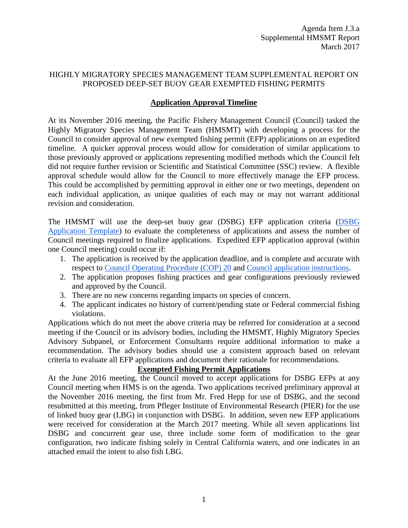#### HIGHLY MIGRATORY SPECIES MANAGEMENT TEAM SUPPLEMENTAL REPORT ON PROPOSED DEEP-SET BUOY GEAR EXEMPTED FISHING PERMITS

## **Application Approval Timeline**

At its November 2016 meeting, the Pacific Fishery Management Council (Council) tasked the Highly Migratory Species Management Team (HMSMT) with developing a process for the Council to consider approval of new exempted fishing permit (EFP) applications on an expedited timeline. A quicker approval process would allow for consideration of similar applications to those previously approved or applications representing modified methods which the Council felt did not require further revision or Scientific and Statistical Committee (SSC) review. A flexible approval schedule would allow for the Council to more effectively manage the EFP process. This could be accomplished by permitting approval in either one or two meetings, dependent on each individual application, as unique qualities of each may or may not warrant additional revision and consideration.

The HMSMT will use the deep-set buoy gear (DSBG) EFP application criteria (DSBG [Application Template\)](http://www.pcouncil.org/wp-content/uploads/2016/12/DSBG_EFP_Application_Template_2016-17_fill.pdf) to evaluate the completeness of applications and assess the number of Council meetings required to finalize applications. Expedited EFP application approval (within one Council meeting) could occur if:

- 1. The application is received by the application deadline, and is complete and accurate with respect to Council [Operating Procedure \(COP\) 20](http://www.pcouncil.org/wp-content/uploads/cop20.pdf) and [Council application instructions.](http://www.pcouncil.org/highly-migratory-species/efp-application-info-for-dsbg/)
- 2. The application proposes fishing practices and gear configurations previously reviewed and approved by the Council.
- 3. There are no new concerns regarding impacts on species of concern.
- 4. The applicant indicates no history of current/pending state or Federal commercial fishing violations.

Applications which do not meet the above criteria may be referred for consideration at a second meeting if the Council or its advisory bodies, including the HMSMT, Highly Migratory Species Advisory Subpanel, or Enforcement Consultants require additional information to make a recommendation. The advisory bodies should use a consistent approach based on relevant criteria to evaluate all EFP applications and document their rationale for recommendations.

#### **Exempted Fishing Permit Applications**

At the June 2016 meeting, the Council moved to accept applications for DSBG EFPs at any Council meeting when HMS is on the agenda. Two applications received preliminary approval at the November 2016 meeting, the first from Mr. Fred Hepp for use of DSBG, and the second resubmitted at this meeting, from Pfleger Institute of Environmental Research (PIER) for the use of linked buoy gear (LBG) in conjunction with DSBG. In addition, seven new EFP applications were received for consideration at the March 2017 meeting. While all seven applications list DSBG and concurrent gear use, three include some form of modification to the gear configuration, two indicate fishing solely in Central California waters, and one indicates in an attached email the intent to also fish LBG.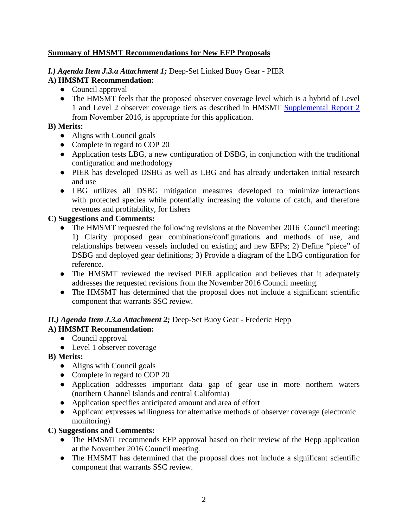## **Summary of HMSMT Recommendations for New EFP Proposals**

# *I.) Agenda Item J.3.a Attachment 1;* Deep-Set Linked Buoy Gear - PIER

## **A) HMSMT Recommendation:**

- Council approval
- The HMSMT feels that the proposed observer coverage level which is a hybrid of Level 1 and Level 2 observer coverage tiers as described in HMSMT [Supplemental Report 2](http://www.pcouncil.org/wp-content/uploads/2016/11/I4a_Sup_HMSMT_Rpt2_DSBG_EFPs_NOV2016BB.pdf) from November 2016, is appropriate for this application.

## **B) Merits:**

- Aligns with Council goals
- Complete in regard to COP 20
- Application tests LBG, a new configuration of DSBG, in conjunction with the traditional configuration and methodology
- PIER has developed DSBG as well as LBG and has already undertaken initial research and use
- LBG utilizes all DSBG mitigation measures developed to minimize interactions with protected species while potentially increasing the volume of catch, and therefore revenues and profitability, for fishers

## **C) Suggestions and Comments:**

- The HMSMT requested the following revisions at the November 2016 Council meeting: 1) Clarify proposed gear combinations/configurations and methods of use, and relationships between vessels included on existing and new EFPs; 2) Define "piece" of DSBG and deployed gear definitions; 3) Provide a diagram of the LBG configuration for reference.
- The HMSMT reviewed the revised PIER application and believes that it adequately addresses the requested revisions from the November 2016 Council meeting.
- The HMSMT has determined that the proposal does not include a significant scientific component that warrants SSC review.

#### *II.) Agenda Item J.3.a Attachment 2;* Deep-Set Buoy Gear - Frederic Hepp **A) HMSMT Recommendation:**

- Council approval
- Level 1 observer coverage

# **B) Merits:**

- Aligns with Council goals
- Complete in regard to COP 20
- Application addresses important data gap of gear use in more northern waters (northern Channel Islands and central California)
- Application specifies anticipated amount and area of effort
- Applicant expresses willingness for alternative methods of observer coverage (electronic monitoring)

#### **C) Suggestions and Comments:**

- The HMSMT recommends EFP approval based on their review of the Hepp application at the November 2016 Council meeting.
- The HMSMT has determined that the proposal does not include a significant scientific component that warrants SSC review.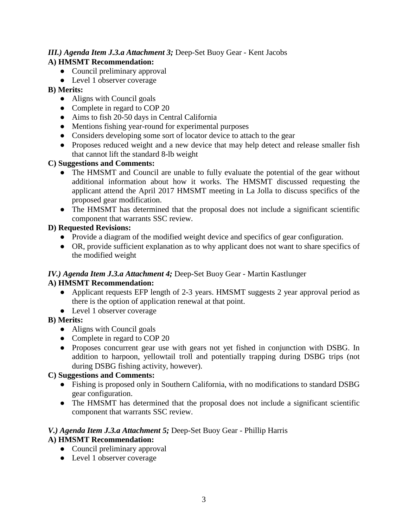## *III.) Agenda Item J.3.a Attachment 3;* Deep-Set Buoy Gear - Kent Jacobs **A) HMSMT Recommendation:**

- Council preliminary approval
- Level 1 observer coverage

# **B) Merits:**

- Aligns with Council goals
- Complete in regard to COP 20
- Aims to fish 20-50 days in Central California
- Mentions fishing year-round for experimental purposes
- Considers developing some sort of locator device to attach to the gear
- Proposes reduced weight and a new device that may help detect and release smaller fish that cannot lift the standard 8-lb weight

## **C) Suggestions and Comments:**

- The HMSMT and Council are unable to fully evaluate the potential of the gear without additional information about how it works. The HMSMT discussed requesting the applicant attend the April 2017 HMSMT meeting in La Jolla to discuss specifics of the proposed gear modification.
- The HMSMT has determined that the proposal does not include a significant scientific component that warrants SSC review.

## **D) Requested Revisions:**

- Provide a diagram of the modified weight device and specifics of gear configuration.
- OR, provide sufficient explanation as to why applicant does not want to share specifics of the modified weight

#### *IV.) Agenda Item J.3.a Attachment 4;* Deep-Set Buoy Gear - Martin Kastlunger

# **A) HMSMT Recommendation:**

- Applicant requests EFP length of 2-3 years. HMSMT suggests 2 year approval period as there is the option of application renewal at that point.
- Level 1 observer coverage

#### **B) Merits:**

- Aligns with Council goals
- Complete in regard to COP 20
- Proposes concurrent gear use with gears not yet fished in conjunction with DSBG. In addition to harpoon, yellowtail troll and potentially trapping during DSBG trips (not during DSBG fishing activity, however).

## **C) Suggestions and Comments:**

- Fishing is proposed only in Southern California, with no modifications to standard DSBG gear configuration.
- The HMSMT has determined that the proposal does not include a significant scientific component that warrants SSC review.

# *V.) Agenda Item J.3.a Attachment 5;* Deep-Set Buoy Gear - Phillip Harris

#### **A) HMSMT Recommendation:**

- Council preliminary approval
- Level 1 observer coverage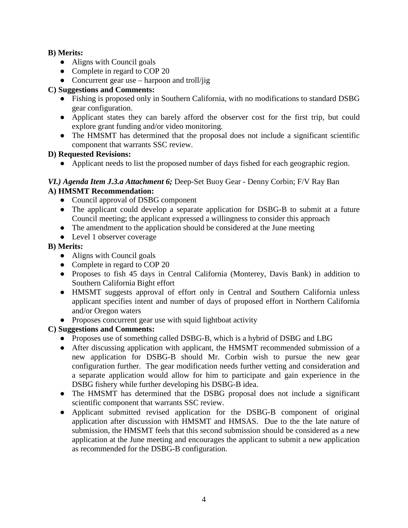### **B) Merits:**

- Aligns with Council goals
- Complete in regard to COP 20
- Concurrent gear use harpoon and troll/jig

# **C) Suggestions and Comments:**

- Fishing is proposed only in Southern California, with no modifications to standard DSBG gear configuration.
- Applicant states they can barely afford the observer cost for the first trip, but could explore grant funding and/or video monitoring.
- The HMSMT has determined that the proposal does not include a significant scientific component that warrants SSC review.

# **D) Requested Revisions:**

● Applicant needs to list the proposed number of days fished for each geographic region.

# *VI.) Agenda Item J.3.a Attachment 6;* Deep-Set Buoy Gear - Denny Corbin; F/V Ray Ban

# **A) HMSMT Recommendation:**

- Council approval of DSBG component
- The applicant could develop a separate application for DSBG-B to submit at a future Council meeting; the applicant expressed a willingness to consider this approach
- The amendment to the application should be considered at the June meeting
- Level 1 observer coverage

# **B) Merits:**

- Aligns with Council goals
- Complete in regard to COP 20
- Proposes to fish 45 days in Central California (Monterey, Davis Bank) in addition to Southern California Bight effort
- HMSMT suggests approval of effort only in Central and Southern California unless applicant specifies intent and number of days of proposed effort in Northern California and/or Oregon waters
- Proposes concurrent gear use with squid lightboat activity

# **C) Suggestions and Comments:**

- Proposes use of something called DSBG-B, which is a hybrid of DSBG and LBG
- After discussing application with applicant, the HMSMT recommended submission of a new application for DSBG-B should Mr. Corbin wish to pursue the new gear configuration further. The gear modification needs further vetting and consideration and a separate application would allow for him to participate and gain experience in the DSBG fishery while further developing his DSBG-B idea.
- The HMSMT has determined that the DSBG proposal does not include a significant scientific component that warrants SSC review.
- Applicant submitted revised application for the DSBG-B component of original application after discussion with HMSMT and HMSAS. Due to the the late nature of submission, the HMSMT feels that this second submission should be considered as a new application at the June meeting and encourages the applicant to submit a new application as recommended for the DSBG-B configuration.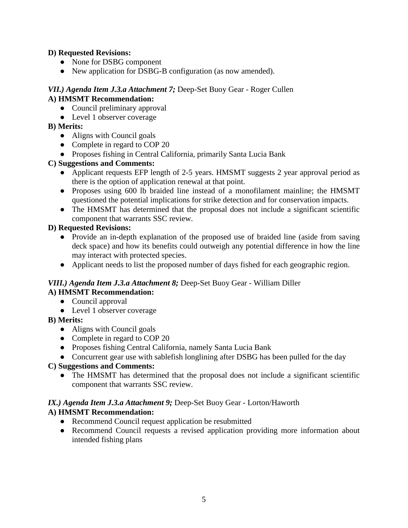## **D) Requested Revisions:**

- None for DSBG component
- New application for DSBG-B configuration (as now amended).

### *VII.) Agenda Item J.3.a Attachment 7;* Deep-Set Buoy Gear - Roger Cullen **A) HMSMT Recommendation:**

- Council preliminary approval
- Level 1 observer coverage

# **B) Merits:**

- Aligns with Council goals
- Complete in regard to COP 20
- Proposes fishing in Central California, primarily Santa Lucia Bank

## **C) Suggestions and Comments:**

- Applicant requests EFP length of 2-5 years. HMSMT suggests 2 year approval period as there is the option of application renewal at that point.
- Proposes using 600 lb braided line instead of a monofilament mainline; the HMSMT questioned the potential implications for strike detection and for conservation impacts.
- The HMSMT has determined that the proposal does not include a significant scientific component that warrants SSC review.

# **D) Requested Revisions:**

- Provide an in-depth explanation of the proposed use of braided line (aside from saving deck space) and how its benefits could outweigh any potential difference in how the line may interact with protected species.
- Applicant needs to list the proposed number of days fished for each geographic region.

#### *VIII.) Agenda Item J.3.a Attachment 8;* Deep-Set Buoy Gear - William Diller **A) HMSMT Recommendation:**

- Council approval
- Level 1 observer coverage

# **B) Merits:**

- Aligns with Council goals
- Complete in regard to COP 20
- Proposes fishing Central California, namely Santa Lucia Bank
- Concurrent gear use with sable fish longlining after DSBG has been pulled for the day

# **C) Suggestions and Comments:**

• The HMSMT has determined that the proposal does not include a significant scientific component that warrants SSC review.

#### *IX.) Agenda Item J.3.a Attachment 9;* Deep-Set Buoy Gear - Lorton/Haworth **A) HMSMT Recommendation:**

- Recommend Council request application be resubmitted
- Recommend Council requests a revised application providing more information about intended fishing plans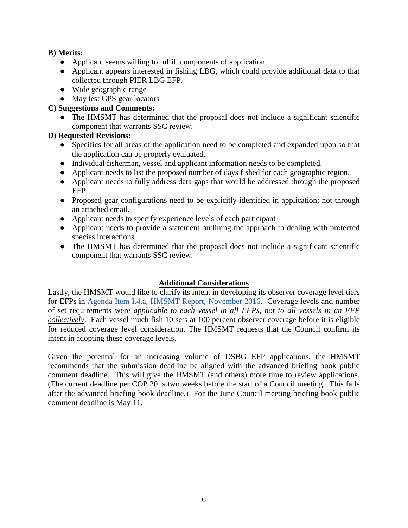### **B) Merits:**

- Applicant seems willing to fulfill components of application.
- Applicant appears interested in fishing LBG, which could provide additional data to that collected through PIER LBG EFP.
- Wide geographic range
- May test GPS gear locators

## **C) Suggestions and Comments:**

• The HMSMT has determined that the proposal does not include a significant scientific component that warrants SSC review.

## **D) Requested Revisions:**

- Specifics for all areas of the application need to be completed and expanded upon so that the application can be properly evaluated.
- Individual fisherman, vessel and applicant information needs to be completed.
- Applicant needs to list the proposed number of days fished for each geographic region.
- Applicant needs to fully address data gaps that would be addressed through the proposed EFP.
- Proposed gear configurations need to be explicitly identified in application; not through an attached email.
- Applicant needs to specify experience levels of each participant
- Applicant needs to provide a statement outlining the approach to dealing with protected species interactions
- The HMSMT has determined that the proposal does not include a significant scientific component that warrants SSC review.

#### **Additional Considerations**

Lastly, the HMSMT would like to clarify its intent in developing its observer coverage level tiers for EFPs in [Agenda Item I.4.a, HMSMT Report, November 2016.](http://www.pcouncil.org/wp-content/uploads/2016/10/I4a_HMSMT_Rpt_DSBG_EFP_InitlRvw_and_App_Template_NOV2016BB.pdf) Coverage levels and number of set requirements were *applicable to each vessel in all EFPs, not to all vessels in an EFP collectively*. Each vessel much fish 10 sets at 100 percent observer coverage before it is eligible for reduced coverage level consideration. The HMSMT requests that the Council confirm its intent in adopting these coverage levels.

Given the potential for an increasing volume of DSBG EFP applications, the HMSMT recommends that the submission deadline be aligned with the advanced briefing book public comment deadline. This will give the HMSMT (and others) more time to review applications. (The current deadline per COP 20 is two weeks before the start of a Council meeting. This falls after the advanced briefing book deadline.) For the June Council meeting briefing book public comment deadline is May 11.